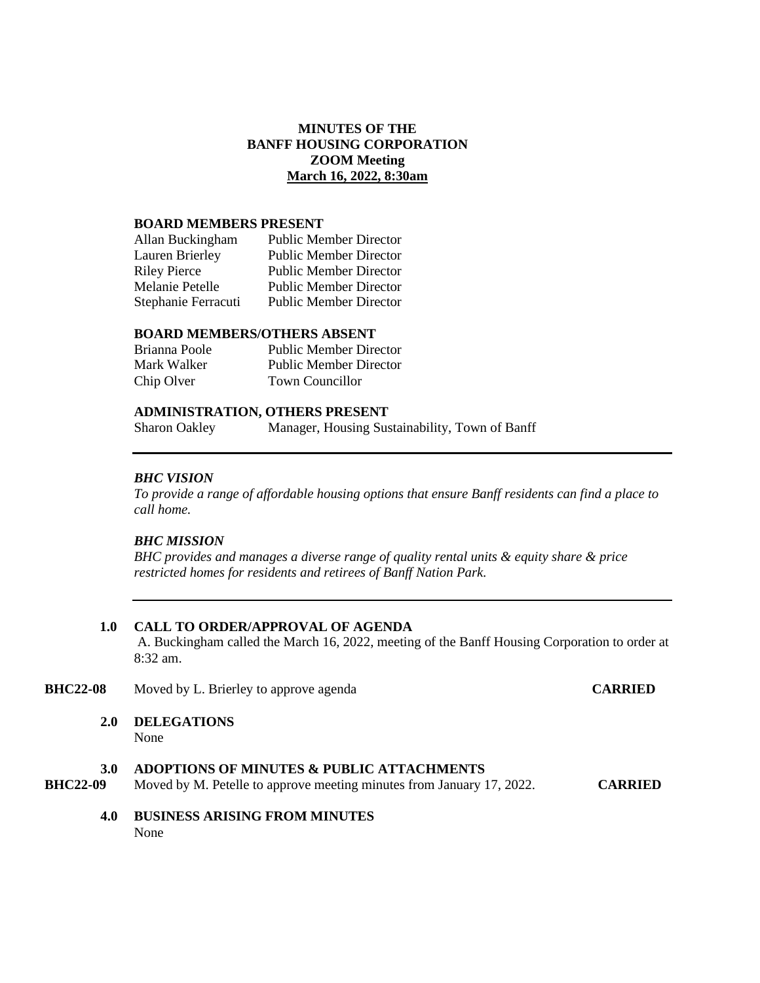# **MINUTES OF THE BANFF HOUSING CORPORATION ZOOM Meeting March 16, 2022, 8:30am**

#### **BOARD MEMBERS PRESENT**

| Allan Buckingham    | <b>Public Member Director</b> |
|---------------------|-------------------------------|
| Lauren Brierley     | <b>Public Member Director</b> |
| <b>Riley Pierce</b> | <b>Public Member Director</b> |
| Melanie Petelle     | <b>Public Member Director</b> |
| Stephanie Ferracuti | <b>Public Member Director</b> |

## **BOARD MEMBERS/OTHERS ABSENT**

| Brianna Poole | <b>Public Member Director</b> |
|---------------|-------------------------------|
| Mark Walker   | Public Member Director        |
| Chip Olver    | Town Councillor               |

## **ADMINISTRATION, OTHERS PRESENT**

Sharon Oakley Manager, Housing Sustainability, Town of Banff

### *BHC VISION*

*To provide a range of affordable housing options that ensure Banff residents can find a place to call home.*

## *BHC MISSION*

*BHC provides and manages a diverse range of quality rental units & equity share & price restricted homes for residents and retirees of Banff Nation Park.*

#### **1.0 CALL TO ORDER/APPROVAL OF AGENDA**

A. Buckingham called the March 16, 2022, meeting of the Banff Housing Corporation to order at 8:32 am.

### **BHC22-08** Moved by L. Brierley to approve agenda **CARRIED**

**2.0 DELEGATIONS**

None

### **3.0 ADOPTIONS OF MINUTES & PUBLIC ATTACHMENTS**

**BHC22-09** Moved by M. Petelle to approve meeting minutes from January 17, 2022. **CARRIED**

**4.0 BUSINESS ARISING FROM MINUTES** None when the contract of the contract of the contract of the contract of the contract of the contract of the contract of the contract of the contract of the contract of the contract of the contract of the contract of the